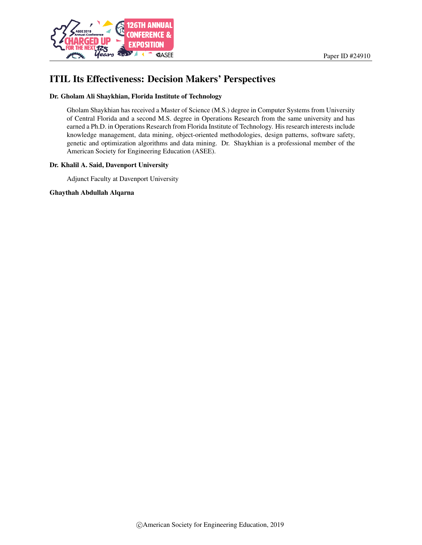

# ITIL Its Effectiveness: Decision Makers' Perspectives

#### Dr. Gholam Ali Shaykhian, Florida Institute of Technology

Gholam Shaykhian has received a Master of Science (M.S.) degree in Computer Systems from University of Central Florida and a second M.S. degree in Operations Research from the same university and has earned a Ph.D. in Operations Research from Florida Institute of Technology. His research interests include knowledge management, data mining, object-oriented methodologies, design patterns, software safety, genetic and optimization algorithms and data mining. Dr. Shaykhian is a professional member of the American Society for Engineering Education (ASEE).

#### Dr. Khalil A. Said, Davenport University

Adjunct Faculty at Davenport University

#### Ghaythah Abdullah Alqarna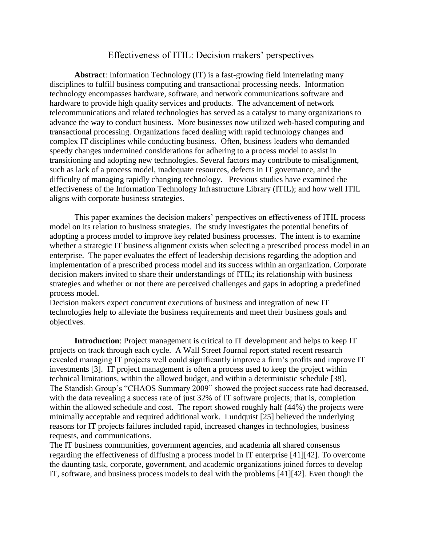## Effectiveness of ITIL: Decision makers' perspectives

**Abstract**: Information Technology (IT) is a fast-growing field interrelating many disciplines to fulfill business computing and transactional processing needs. Information technology encompasses hardware, software, and network communications software and hardware to provide high quality services and products. The advancement of network telecommunications and related technologies has served as a catalyst to many organizations to advance the way to conduct business. More businesses now utilized web-based computing and transactional processing. Organizations faced dealing with rapid technology changes and complex IT disciplines while conducting business. Often, business leaders who demanded speedy changes undermined considerations for adhering to a process model to assist in transitioning and adopting new technologies. Several factors may contribute to misalignment, such as lack of a process model, inadequate resources, defects in IT governance, and the difficulty of managing rapidly changing technology. Previous studies have examined the effectiveness of the Information Technology Infrastructure Library (ITIL); and how well ITIL aligns with corporate business strategies.

This paper examines the decision makers' perspectives on effectiveness of ITIL process model on its relation to business strategies. The study investigates the potential benefits of adopting a process model to improve key related business processes. The intent is to examine whether a strategic IT business alignment exists when selecting a prescribed process model in an enterprise. The paper evaluates the effect of leadership decisions regarding the adoption and implementation of a prescribed process model and its success within an organization. Corporate decision makers invited to share their understandings of ITIL; its relationship with business strategies and whether or not there are perceived challenges and gaps in adopting a predefined process model.

Decision makers expect concurrent executions of business and integration of new IT technologies help to alleviate the business requirements and meet their business goals and objectives.

**Introduction**: Project management is critical to IT development and helps to keep IT projects on track through each cycle. A Wall Street Journal report stated recent research revealed managing IT projects well could significantly improve a firm's profits and improve IT investments [3]. IT project management is often a process used to keep the project within technical limitations, within the allowed budget, and within a deterministic schedule [38]. The Standish Group's "CHAOS Summary 2009" showed the project success rate had decreased, with the data revealing a success rate of just 32% of IT software projects; that is, completion within the allowed schedule and cost. The report showed roughly half (44%) the projects were minimally acceptable and required additional work. Lundquist [25] believed the underlying reasons for IT projects failures included rapid, increased changes in technologies, business requests, and communications.

The IT business communities, government agencies, and academia all shared consensus regarding the effectiveness of diffusing a process model in IT enterprise [41][42]. To overcome the daunting task, corporate, government, and academic organizations joined forces to develop IT, software, and business process models to deal with the problems [41][42]. Even though the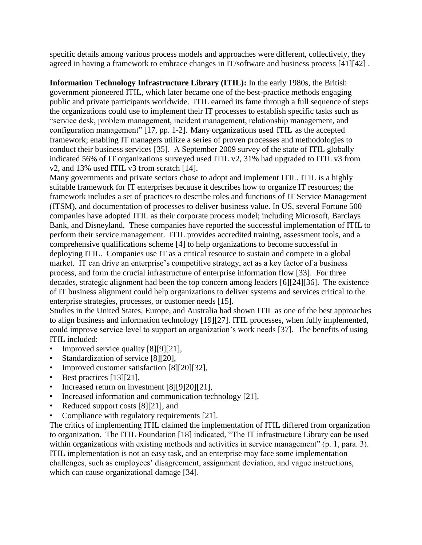specific details among various process models and approaches were different, collectively, they agreed in having a framework to embrace changes in IT/software and business process [41][42].

**Information Technology Infrastructure Library (ITIL):** In the early 1980s, the British government pioneered ITIL, which later became one of the best-practice methods engaging public and private participants worldwide. ITIL earned its fame through a full sequence of steps the organizations could use to implement their IT processes to establish specific tasks such as "service desk, problem management, incident management, relationship management, and configuration management" [17, pp. 1-2]. Many organizations used ITIL as the accepted framework; enabling IT managers utilize a series of proven processes and methodologies to conduct their business services [35]. A September 2009 survey of the state of ITIL globally indicated 56% of IT organizations surveyed used ITIL v2, 31% had upgraded to ITIL v3 from v2, and 13% used ITIL v3 from scratch [14].

Many governments and private sectors chose to adopt and implement ITIL. ITIL is a highly suitable framework for IT enterprises because it describes how to organize IT resources; the framework includes a set of practices to describe roles and functions of IT Service Management (ITSM), and documentation of processes to deliver business value. In US, several Fortune 500 companies have adopted ITIL as their corporate process model; including Microsoft, Barclays Bank, and Disneyland. These companies have reported the successful implementation of ITIL to perform their service management. ITIL provides accredited training, assessment tools, and a comprehensive qualifications scheme [4] to help organizations to become successful in deploying ITIL. Companies use IT as a critical resource to sustain and compete in a global market. IT can drive an enterprise's competitive strategy, act as a key factor of a business process, and form the crucial infrastructure of enterprise information flow [33]. For three decades, strategic alignment had been the top concern among leaders [6][24][36]. The existence of IT business alignment could help organizations to deliver systems and services critical to the enterprise strategies, processes, or customer needs [15].

Studies in the United States, Europe, and Australia had shown ITIL as one of the best approaches to align business and information technology [19][27]. ITIL processes, when fully implemented, could improve service level to support an organization's work needs [37]. The benefits of using ITIL included:

- Improved service quality [8][9][21],
- Standardization of service [8][20],
- Improved customer satisfaction [8][20][32],
- Best practices [13][21],
- Increased return on investment [8][9]20][21],
- Increased information and communication technology [21],
- Reduced support costs [8][21], and
- Compliance with regulatory requirements [21].

The critics of implementing ITIL claimed the implementation of ITIL differed from organization to organization. The ITIL Foundation [18] indicated, "The IT infrastructure Library can be used within organizations with existing methods and activities in service management" (p. 1, para. 3). ITIL implementation is not an easy task, and an enterprise may face some implementation challenges, such as employees' disagreement, assignment deviation, and vague instructions, which can cause organizational damage [34].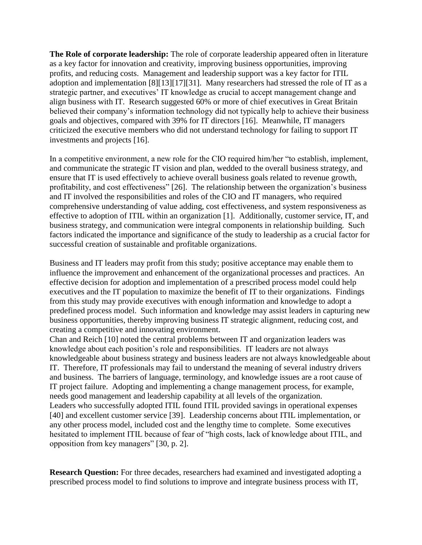**The Role of corporate leadership:** The role of corporate leadership appeared often in literature as a key factor for innovation and creativity, improving business opportunities, improving profits, and reducing costs. Management and leadership support was a key factor for ITIL adoption and implementation [8][13][17][31]. Many researchers had stressed the role of IT as a strategic partner, and executives' IT knowledge as crucial to accept management change and align business with IT. Research suggested 60% or more of chief executives in Great Britain believed their company's information technology did not typically help to achieve their business goals and objectives, compared with 39% for IT directors [16]. Meanwhile, IT managers criticized the executive members who did not understand technology for failing to support IT investments and projects [16].

In a competitive environment, a new role for the CIO required him/her "to establish, implement, and communicate the strategic IT vision and plan, wedded to the overall business strategy, and ensure that IT is used effectively to achieve overall business goals related to revenue growth, profitability, and cost effectiveness" [26]. The relationship between the organization's business and IT involved the responsibilities and roles of the CIO and IT managers, who required comprehensive understanding of value adding, cost effectiveness, and system responsiveness as effective to adoption of ITIL within an organization [1]. Additionally, customer service, IT, and business strategy, and communication were integral components in relationship building. Such factors indicated the importance and significance of the study to leadership as a crucial factor for successful creation of sustainable and profitable organizations.

Business and IT leaders may profit from this study; positive acceptance may enable them to influence the improvement and enhancement of the organizational processes and practices. An effective decision for adoption and implementation of a prescribed process model could help executives and the IT population to maximize the benefit of IT to their organizations. Findings from this study may provide executives with enough information and knowledge to adopt a predefined process model. Such information and knowledge may assist leaders in capturing new business opportunities, thereby improving business IT strategic alignment, reducing cost, and creating a competitive and innovating environment.

Chan and Reich [10] noted the central problems between IT and organization leaders was knowledge about each position's role and responsibilities. IT leaders are not always knowledgeable about business strategy and business leaders are not always knowledgeable about IT. Therefore, IT professionals may fail to understand the meaning of several industry drivers and business. The barriers of language, terminology, and knowledge issues are a root cause of IT project failure. Adopting and implementing a change management process, for example, needs good management and leadership capability at all levels of the organization. Leaders who successfully adopted ITIL found ITIL provided savings in operational expenses [40] and excellent customer service [39]. Leadership concerns about ITIL implementation, or any other process model, included cost and the lengthy time to complete. Some executives hesitated to implement ITIL because of fear of "high costs, lack of knowledge about ITIL, and opposition from key managers" [30, p. 2].

**Research Question:** For three decades, researchers had examined and investigated adopting a prescribed process model to find solutions to improve and integrate business process with IT,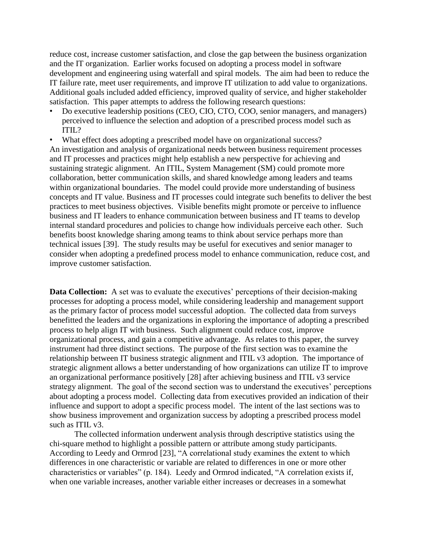reduce cost, increase customer satisfaction, and close the gap between the business organization and the IT organization. Earlier works focused on adopting a process model in software development and engineering using waterfall and spiral models. The aim had been to reduce the IT failure rate, meet user requirements, and improve IT utilization to add value to organizations. Additional goals included added efficiency, improved quality of service, and higher stakeholder satisfaction. This paper attempts to address the following research questions:

- Do executive leadership positions (CEO, CIO, CTO, COO, senior managers, and managers) perceived to influence the selection and adoption of a prescribed process model such as ITIL?
- What effect does adopting a prescribed model have on organizational success?

An investigation and analysis of organizational needs between business requirement processes and IT processes and practices might help establish a new perspective for achieving and sustaining strategic alignment. An ITIL, System Management (SM) could promote more collaboration, better communication skills, and shared knowledge among leaders and teams within organizational boundaries. The model could provide more understanding of business concepts and IT value. Business and IT processes could integrate such benefits to deliver the best practices to meet business objectives. Visible benefits might promote or perceive to influence business and IT leaders to enhance communication between business and IT teams to develop internal standard procedures and policies to change how individuals perceive each other. Such benefits boost knowledge sharing among teams to think about service perhaps more than technical issues [39]. The study results may be useful for executives and senior manager to consider when adopting a predefined process model to enhance communication, reduce cost, and improve customer satisfaction.

**Data Collection:** A set was to evaluate the executives' perceptions of their decision-making processes for adopting a process model, while considering leadership and management support as the primary factor of process model successful adoption. The collected data from surveys benefitted the leaders and the organizations in exploring the importance of adopting a prescribed process to help align IT with business. Such alignment could reduce cost, improve organizational process, and gain a competitive advantage. As relates to this paper, the survey instrument had three distinct sections. The purpose of the first section was to examine the relationship between IT business strategic alignment and ITIL v3 adoption. The importance of strategic alignment allows a better understanding of how organizations can utilize IT to improve an organizational performance positively [28] after achieving business and ITIL v3 service strategy alignment. The goal of the second section was to understand the executives' perceptions about adopting a process model. Collecting data from executives provided an indication of their influence and support to adopt a specific process model. The intent of the last sections was to show business improvement and organization success by adopting a prescribed process model such as ITIL v3.

The collected information underwent analysis through descriptive statistics using the chi-square method to highlight a possible pattern or attribute among study participants. According to Leedy and Ormrod [23], "A correlational study examines the extent to which differences in one characteristic or variable are related to differences in one or more other characteristics or variables" (p. 184). Leedy and Ormrod indicated, "A correlation exists if, when one variable increases, another variable either increases or decreases in a somewhat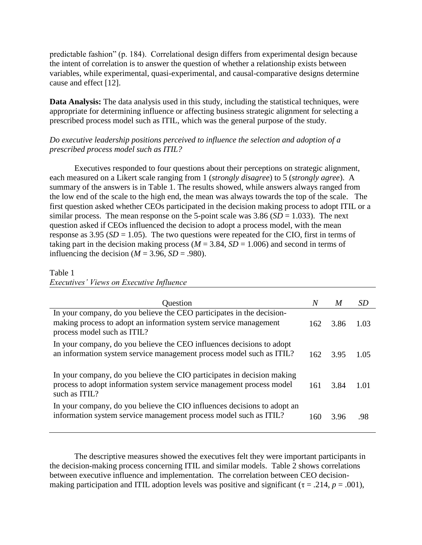predictable fashion" (p. 184). Correlational design differs from experimental design because the intent of correlation is to answer the question of whether a relationship exists between variables, while experimental, quasi-experimental, and causal-comparative designs determine cause and effect [12].

**Data Analysis:** The data analysis used in this study, including the statistical techniques, were appropriate for determining influence or affecting business strategic alignment for selecting a prescribed process model such as ITIL, which was the general purpose of the study.

# *Do executive leadership positions perceived to influence the selection and adoption of a prescribed process model such as ITIL?*

Executives responded to four questions about their perceptions on strategic alignment, each measured on a Likert scale ranging from 1 (*strongly disagree*) to 5 (*strongly agree*). A summary of the answers is in Table 1. The results showed, while answers always ranged from the low end of the scale to the high end, the mean was always towards the top of the scale. The first question asked whether CEOs participated in the decision making process to adopt ITIL or a similar process. The mean response on the 5-point scale was  $3.86$  ( $SD = 1.033$ ). The next question asked if CEOs influenced the decision to adopt a process model, with the mean response as  $3.95$  ( $SD = 1.05$ ). The two questions were repeated for the CIO, first in terms of taking part in the decision making process ( $M = 3.84$ ,  $SD = 1.006$ ) and second in terms of influencing the decision ( $M = 3.96$ ,  $SD = .980$ ).

### Table 1

# *Executives' Views on Executive Influence*

| Question                                                                                                                                                                 | N   | M    | SD    |
|--------------------------------------------------------------------------------------------------------------------------------------------------------------------------|-----|------|-------|
| In your company, do you believe the CEO participates in the decision-<br>making process to adopt an information system service management<br>process model such as ITIL? | 162 | 3.86 | 1.03  |
| In your company, do you believe the CEO influences decisions to adopt<br>an information system service management process model such as ITIL?                            | 162 | 3.95 | 1.05  |
| In your company, do you believe the CIO participates in decision making<br>process to adopt information system service management process model<br>such as ITIL?         | 161 | 3.84 | -1.01 |
| In your company, do you believe the CIO influences decisions to adopt an<br>information system service management process model such as ITIL?                            | 160 | 3.96 | .98   |

The descriptive measures showed the executives felt they were important participants in the decision-making process concerning ITIL and similar models. Table 2 shows correlations between executive influence and implementation. The correlation between CEO decisionmaking participation and ITIL adoption levels was positive and significant ( $\tau = .214$ ,  $p = .001$ ),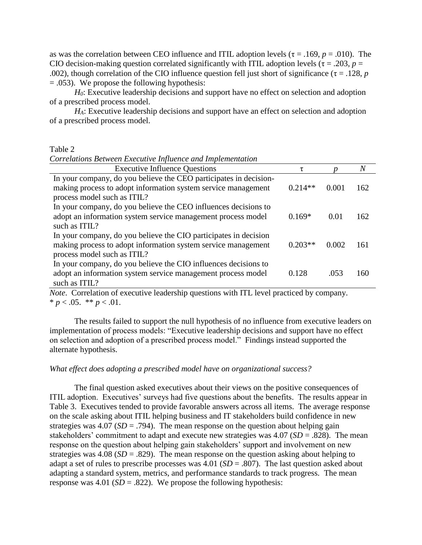as was the correlation between CEO influence and ITIL adoption levels (τ = .169, *p* = .010). The CIO decision-making question correlated significantly with ITIL adoption levels ( $\tau = .203$ ,  $p =$ .002), though correlation of the CIO influence question fell just short of significance ( $\tau = .128$ , *p*  $= .053$ ). We propose the following hypothesis:

*H0*: Executive leadership decisions and support have no effect on selection and adoption of a prescribed process model.

*HA*: Executive leadership decisions and support have an effect on selection and adoption of a prescribed process model.

### Table 2

*Correlations Between Executive Influence and Implementation*

| <b>Executive Influence Questions</b>                              | τ         |       | $\overline{N}$ |
|-------------------------------------------------------------------|-----------|-------|----------------|
| In your company, do you believe the CEO participates in decision- |           |       |                |
| making process to adopt information system service management     | $0.214**$ | 0.001 | 162            |
| process model such as ITIL?                                       |           |       |                |
| In your company, do you believe the CEO influences decisions to   |           |       |                |
| adopt an information system service management process model      | $0.169*$  | 0.01  | 162            |
| such as ITIL?                                                     |           |       |                |
| In your company, do you believe the CIO participates in decision  |           |       |                |
| making process to adopt information system service management     | $0.203**$ | 0.002 | 161            |
| process model such as ITIL?                                       |           |       |                |
| In your company, do you believe the CIO influences decisions to   |           |       |                |
| adopt an information system service management process model      | 0.128     | .053  | 160            |
| such as ITIL?                                                     |           |       |                |

*Note*. Correlation of executive leadership questions with ITL level practiced by company.  $* p < .05.$  \*\*  $p < .01.$ 

The results failed to support the null hypothesis of no influence from executive leaders on implementation of process models: "Executive leadership decisions and support have no effect on selection and adoption of a prescribed process model." Findings instead supported the alternate hypothesis.

### *What effect does adopting a prescribed model have on organizational success?*

The final question asked executives about their views on the positive consequences of ITIL adoption. Executives' surveys had five questions about the benefits. The results appear in Table 3. Executives tended to provide favorable answers across all items. The average response on the scale asking about ITIL helping business and IT stakeholders build confidence in new strategies was  $4.07$  ( $SD = .794$ ). The mean response on the question about helping gain stakeholders' commitment to adapt and execute new strategies was 4.07 (*SD* = .828). The mean response on the question about helping gain stakeholders' support and involvement on new strategies was  $4.08$  ( $SD = .829$ ). The mean response on the question asking about helping to adapt a set of rules to prescribe processes was 4.01 (*SD* = .807). The last question asked about adapting a standard system, metrics, and performance standards to track progress*.* The mean response was  $4.01$  (*SD* = .822). We propose the following hypothesis: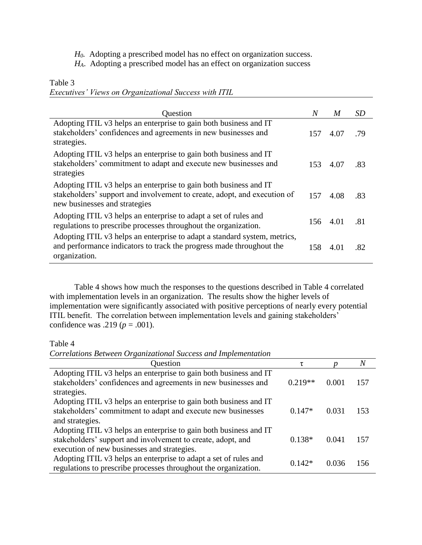*H0.* Adopting a prescribed model has no effect on organization success.

*HA*. Adopting a prescribed model has an effect on organization success

# Table 3 *Executives' Views on Organizational Success with ITIL*

| Question                                                                                                                                                                       | N   | M    | <i>SD</i> |
|--------------------------------------------------------------------------------------------------------------------------------------------------------------------------------|-----|------|-----------|
| Adopting ITIL v3 helps an enterprise to gain both business and IT<br>stakeholders' confidences and agreements in new businesses and<br>strategies.                             | 157 | 4.07 | .79       |
| Adopting ITIL v3 helps an enterprise to gain both business and IT<br>stakeholders' commitment to adapt and execute new businesses and<br>strategies                            | 153 | 4.07 | .83       |
| Adopting ITIL v3 helps an enterprise to gain both business and IT<br>stakeholders' support and involvement to create, adopt, and execution of<br>new businesses and strategies | 157 | 4.08 | .83       |
| Adopting ITIL v3 helps an enterprise to adapt a set of rules and<br>regulations to prescribe processes throughout the organization.                                            | 156 | 4.01 | .81       |
| Adopting ITIL v3 helps an enterprise to adapt a standard system, metrics,<br>and performance indicators to track the progress made throughout the<br>organization.             | 158 | 4.01 | .82       |

Table 4 shows how much the responses to the questions described in Table 4 correlated with implementation levels in an organization. The results show the higher levels of implementation were significantly associated with positive perceptions of nearly every potential ITIL benefit. The correlation between implementation levels and gaining stakeholders' confidence was .219 (*p* = .001).

Table 4

*Correlations Between Organizational Success and Implementation*

| Question                                                          |           |       | N   |
|-------------------------------------------------------------------|-----------|-------|-----|
| Adopting ITIL v3 helps an enterprise to gain both business and IT |           |       |     |
| stakeholders' confidences and agreements in new businesses and    | $0.219**$ | 0.001 | 157 |
| strategies.                                                       |           |       |     |
| Adopting ITIL v3 helps an enterprise to gain both business and IT |           |       |     |
| stakeholders' commitment to adapt and execute new businesses      | $0.147*$  | 0.031 | 153 |
| and strategies.                                                   |           |       |     |
| Adopting ITIL v3 helps an enterprise to gain both business and IT |           |       |     |
| stakeholders' support and involvement to create, adopt, and       | $0.138*$  | 0.041 | 157 |
| execution of new businesses and strategies.                       |           |       |     |
| Adopting ITIL v3 helps an enterprise to adapt a set of rules and  |           |       |     |
| regulations to prescribe processes throughout the organization.   | $0.142*$  | 0.036 | 156 |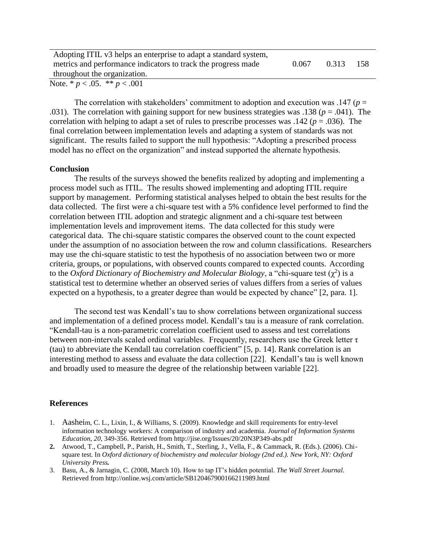| Adopting ITIL v3 helps an enterprise to adapt a standard system,                                                                                                   |       |       |     |
|--------------------------------------------------------------------------------------------------------------------------------------------------------------------|-------|-------|-----|
| metrics and performance indicators to track the progress made                                                                                                      | 0.067 | 0.313 | 158 |
| throughout the organization.                                                                                                                                       |       |       |     |
| $\mathbf{r}$ , $\mathbf{r}$ , $\mathbf{r}$ , $\mathbf{r}$ , $\mathbf{r}$ , $\mathbf{r}$ , $\mathbf{r}$ , $\mathbf{r}$ , $\mathbf{r}$ , $\mathbf{r}$ , $\mathbf{r}$ |       |       |     |

Note.  $* p < .05.$  \*\*  $p < .001$ 

The correlation with stakeholders' commitment to adoption and execution was .147 ( $p =$ .031). The correlation with gaining support for new business strategies was .138 (*p* = .041). The correlation with helping to adapt a set of rules to prescribe processes was .142 (*p* = .036). The final correlation between implementation levels and adapting a system of standards was not significant. The results failed to support the null hypothesis: "Adopting a prescribed process model has no effect on the organization" and instead supported the alternate hypothesis.

#### **Conclusion**

The results of the surveys showed the benefits realized by adopting and implementing a process model such as ITIL. The results showed implementing and adopting ITIL require support by management. Performing statistical analyses helped to obtain the best results for the data collected. The first were a chi-square test with a 5% confidence level performed to find the correlation between ITIL adoption and strategic alignment and a chi-square test between implementation levels and improvement items. The data collected for this study were categorical data. The chi-square statistic compares the observed count to the count expected under the assumption of no association between the row and column classifications. Researchers may use the chi-square statistic to test the hypothesis of no association between two or more criteria, groups, or populations, with observed counts compared to expected counts. According to the *Oxford Dictionary of Biochemistry and Molecular Biology*, a "chi-square test  $(\chi^2)$  is a statistical test to determine whether an observed series of values differs from a series of values expected on a hypothesis, to a greater degree than would be expected by chance" [2, para. 1].

The second test was Kendall's tau to show correlations between organizational success and implementation of a defined process model. Kendall's tau is a measure of rank correlation. "Kendall-tau is a non-parametric correlation coefficient used to assess and test correlations between non-intervals scaled ordinal variables. Frequently, researchers use the Greek letter τ (tau) to abbreviate the Kendall tau correlation coefficient" [5, p. 14]. Rank correlation is an interesting method to assess and evaluate the data collection [22]. Kendall's tau is well known and broadly used to measure the degree of the relationship between variable [22].

### **References**

- 1. Aasheim, C. L., Lixin, I., & Williams, S. (2009). Knowledge and skill requirements for entry-level information technology workers: A comparison of industry and academia*. Journal of Information Systems Education*, *20*, 349-356. Retrieved from http://jise.org/Issues/20/20N3P349-abs.pdf
- **2.** Atwood, T., Campbell, P., Parish, H., Smith, T., Sterling, J., Vella, F., & Cammack, R. (Eds.). (2006). Chisquare test. In *Oxford dictionary of biochemistry and molecular biology (2nd ed.). New York, NY: Oxford University Press.*
- 3. Basu, A., & Jarnagin, C. (2008, March 10). How to tap IT's hidden potential. *The Wall Street Journal.*  Retrieved from http://online.wsj.com/article/SB120467900166211989.html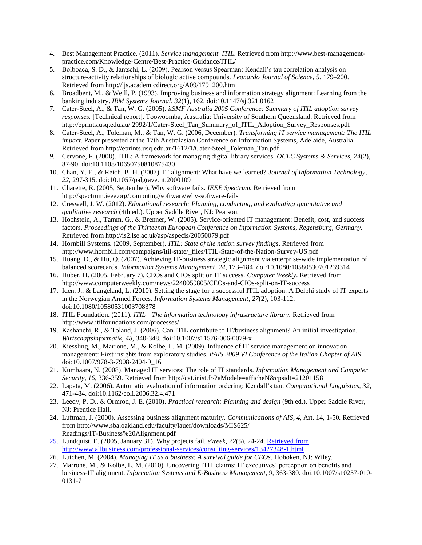- 4. Best Management Practice. (2011). *Service management–ITIL*. Retrieved from http://www.best-managementpractice.com/Knowledge-Centre/Best-Practice-Guidance/ITIL/
- 5. Bolboaca, S. D., & Jantschi, L. (2009). Pearson versus Spearman: Kendall's tau correlation analysis on structure-activity relationships of biologic active compounds. *Leonardo Journal of Science, 5*, 179–200. Retrieved from http://ljs.academicdirect.org/A09/179\_200.htm
- 6. Broadbent, M., & Weill, P. (1993). Improving business and information strategy alignment: Learning from the banking industry. *IBM Systems Journal*, *32*(1), 162. doi:10.1147/sj.321.0162
- 7. Cater-Steel, A., & Tan, W. G. (2005). *itSMF Australia 2005 Conference: Summary of ITIL adoption survey responses.* [Technical report]. Toowoomba, Australia: University of Southern Queensland. Retrieved from http://eprints.usq.edu.au/ 2992/1/Cater-Steel\_Tan\_Summary\_of\_ITIL\_Adoption\_Survey\_Responses.pdf
- 8. Cater-Steel, A., Toleman, M., & Tan, W. G. (2006, December). *Transforming IT service management: The ITIL impact.* Paper presented at the 17th Australasian Conference on Information Systems, Adelaide, Australia. Retrieved from http://eprints.usq.edu.au/1612/1/Cater-Steel\_Toleman\_Tan.pdf
- *9.* Cervone, F. (2008). ITIL: A framework for managing digital library services. *OCLC Systems & Services*, *24*(2), 87-90. doi:10.1108/10650750810875430
- 10. Chan, Y. E., & Reich, B. H. (2007). IT alignment: What have we learned? *Journal of Information Technology, 22*, 297-315. doi:10.1057/palgrave.jit.2000109
- 11. Charette, R. (2005, September). Why software fails. *IEEE Spectrum.* Retrieved from http://spectrum.ieee.org/computing/software/why-software-fails
- 12. Creswell, J. W. (2012). *Educational research: Planning, conducting, and evaluating quantitative and qualitative research* (4th ed.). Upper Saddle River, NJ: Pearson.
- 13. Hochstein, A., Tamm, G., & Brenner, W. (2005). Service-oriented IT management: Benefit, cost, and success factors. *Proceedings of the Thirteenth European Conference on Information Systems, Regensburg, Germany.*  Retrieved from http://is2.lse.ac.uk/asp/aspecis/20050079.pdf
- 14. Hornbill Systems. (2009, September). *ITIL: State of the nation survey findings*. Retrieved from http://www.hornbill.com/campaigns/itil-state/\_files/ITIL-State-of-the-Nation-Survey-US.pdf
- 15. Huang, D., & Hu, Q. (2007). Achieving IT-business strategic alignment via enterprise-wide implementation of balanced scorecards. *Information Systems Management*, *24*, 173–184. doi:10.1080/10580530701239314
- 16. Huber, H. (2005, February 7). CEOs and CIOs split on IT success. *Computer Weekly*. Retrieved from http://www.computerweekly.com/news/2240059805/CEOs-and-CIOs-split-on-IT-success
- 17. Iden, J., & Langeland, L. (2010). Setting the stage for a successful ITIL adoption: A Delphi study of IT experts in the Norwegian Armed Forces. *Information Systems Management*, *27*(2), 103-112. doi:10.1080/10580531003708378
- 18. ITIL Foundation. (2011). *ITIL—The information technology infrastructure library.* Retrieved from http://www.itilfoundations.com/processes/
- 19. Kashanchi, R., & Toland, J. (2006). Can ITIL contribute to IT/business alignment? An initial investigation. *Wirtschaftsinformatik, 48*, 340-348. doi:10.1007/s11576-006-0079-x
- 20. Kiessling, M., Marrone, M., & Kolbe, L. M. (2009). Influence of IT service management on innovation management: First insights from exploratory studies. *itAIS 2009 VI Conference of the Italian Chapter of AIS*. doi:10.1007/978-3-7908-2404-9\_16
- 21. Kumbaara, N. (2008). Managed IT services: The role of IT standards. *Information Management and Computer Security, 16*, 336-359. Retrieved from http://cat.inist.fr/?aModele=afficheN&cpsidt=21201158
- 22. Lapata*,* M. (2006). Automatic evaluation of information ordering: Kendall's tau. *Computational Linguistics, 32*, 471-484. doi:10.1162/coli.2006.32.4.471
- 23. Leedy, P. D., & Ormrod, J. E. (2010). *Practical research: Planning and design* (9th ed.). Upper Saddle River, NJ: Prentice Hall.
- 24. Luftman, J. (2000). Assessing business alignment maturity. *Communications of AIS*, *4*, Art. 14, 1-50. Retrieved from http://www.sba.oakland.edu/faculty/lauer/downloads/MIS625/ Readings/IT-Business%20Alignment.pdf
- 25. Lundquist, E. (2005, January 31). Why projects fail. *eWeek*, *22*(5), 24-24. Retrieved from http://www.allbusiness.com/professional-services/consulting-services/13427348-1.html
- 26. Lutchen, M. (2004). *Managing IT as a business: A survival guide for CEOs*. Hoboken, NJ: Wiley.
- 27. Marrone, M., & Kolbe, L. M. (2010). Uncovering ITIL claims: IT executives' perception on benefits and business-IT alignment. *Information Systems and E-Business Management, 9,* 363-380*.* doi:10.1007/s10257-010- 0131-7